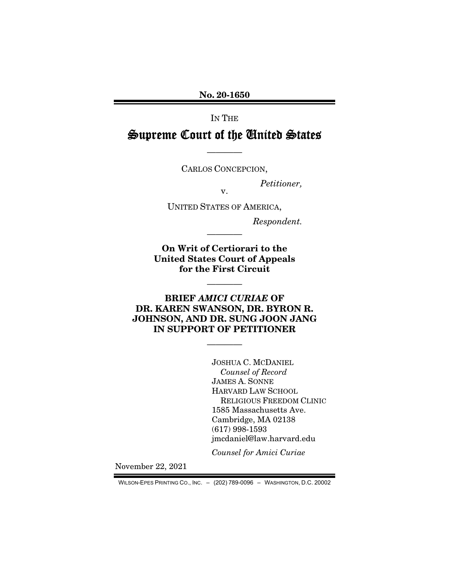No. 20-1650

IN THE

# Supreme Court of the United States

CARLOS CONCEPCION,

————

*Petitioner,* 

UNITED STATES OF AMERICA,

v.

*Respondent.* 

On Writ of Certiorari to the United States Court of Appeals for the First Circuit

————

————

## BRIEF *AMICI CURIAE* OF DR. KAREN SWANSON, DR. BYRON R. JOHNSON, AND DR. SUNG JOON JANG IN SUPPORT OF PETITIONER

————

JOSHUA C. MCDANIEL *Counsel of Record*  JAMES A. SONNE HARVARD LAW SCHOOL RELIGIOUS FREEDOM CLINIC 1585 Massachusetts Ave. Cambridge, MA 02138 (617) 998-1593 jmcdaniel@law.harvard.edu

*Counsel for Amici Curiae* 

November 22, 2021

WILSON-EPES PRINTING CO., INC. – (202) 789-0096 – WASHINGTON, D.C. 20002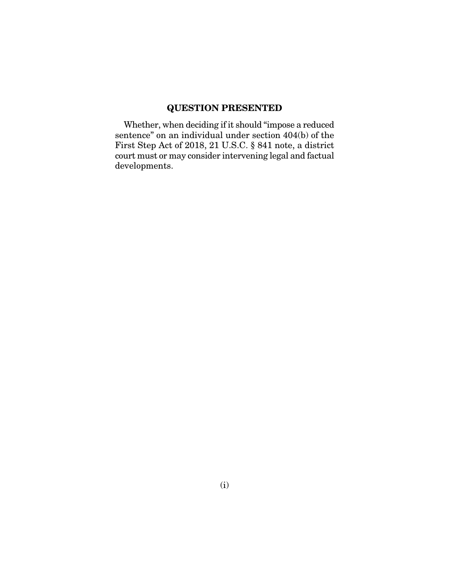## QUESTION PRESENTED

Whether, when deciding if it should "impose a reduced sentence" on an individual under section 404(b) of the First Step Act of 2018, 21 U.S.C. § 841 note, a district court must or may consider intervening legal and factual developments.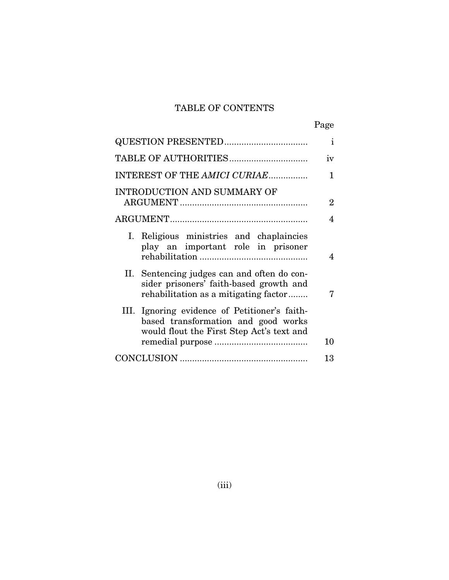## TABLE OF CONTENTS

|--|

| <b>QUESTION PRESENTED</b>                                                                                                         | $\mathbf{i}$   |
|-----------------------------------------------------------------------------------------------------------------------------------|----------------|
|                                                                                                                                   | iv             |
| INTEREST OF THE AMICI CURIAE                                                                                                      | $\mathbf{1}$   |
| <b>INTRODUCTION AND SUMMARY OF</b>                                                                                                | $\overline{2}$ |
|                                                                                                                                   | 4              |
| I. Religious ministries and chaplaincies<br>play an important role in prisoner                                                    | 4              |
| II. Sentencing judges can and often do con-<br>sider prisoners' faith-based growth and<br>rehabilitation as a mitigating factor   | 7              |
| III. Ignoring evidence of Petitioner's faith-<br>based transformation and good works<br>would flout the First Step Act's text and |                |
|                                                                                                                                   | 10             |
|                                                                                                                                   | 13             |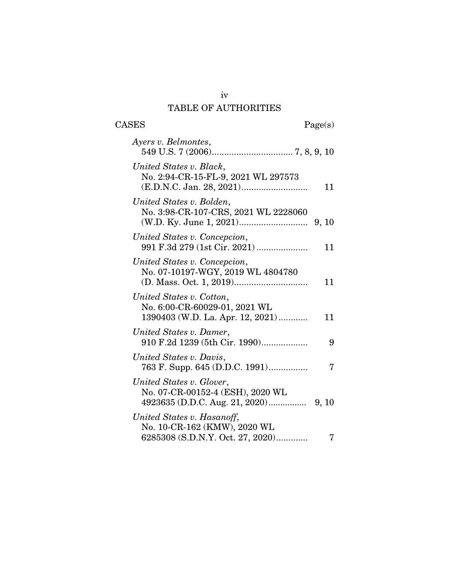## TABLE OF AUTHORITIES

 $\begin{tabular}{cc} \textbf{CASES} & \textbf{Page(s)}\\ \end{tabular}$ 

| Ayers v. Belmontes,                                                                            |       |
|------------------------------------------------------------------------------------------------|-------|
| United States v. Black,<br>No. 2:94-CR-15-FL-9, 2021 WL 297573                                 | 11    |
| United States v. Bolden,<br>No. 3:98-CR-107-CRS, 2021 WL 2228060                               |       |
| United States v. Concepcion,<br>991 F.3d 279 (1st Cir. 2021)                                   | 11    |
| United States v. Concepcion,<br>No. 07-10197-WGY, 2019 WL 4804780                              | 11    |
| United States v. Cotton,<br>No. 6:00-CR-60029-01, 2021 WL<br>1390403 (W.D. La. Apr. 12, 2021)  | 11    |
| United States v. Damer,<br>910 F.2d 1239 (5th Cir. 1990)                                       | 9     |
| United States v. Davis,<br>763 F. Supp. 645 (D.D.C. 1991)                                      | 7     |
| United States v. Glover,<br>No. 07-CR-00152-4 (ESH), 2020 WL<br>4923635 (D.D.C. Aug. 21, 2020) | 9, 10 |
| United States v. Hasanoff,<br>No. 10-CR-162 (KMW), 2020 WL<br>6285308 (S.D.N.Y. Oct. 27, 2020) | 7     |

iv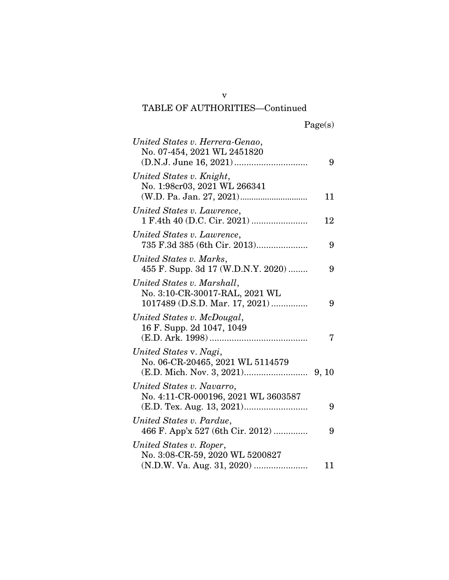# TABLE OF AUTHORITIES—Continued

| United States v. Herrera-Genao,<br>No. 07-454, 2021 WL 2451820                                 | 9  |
|------------------------------------------------------------------------------------------------|----|
| United States v. Knight,<br>No. 1:98cr03, 2021 WL 266341                                       | 11 |
| United States v. Lawrence,                                                                     | 12 |
| United States v. Lawrence,<br>735 F.3d 385 (6th Cir. 2013)                                     | 9  |
| United States v. Marks,<br>455 F. Supp. 3d 17 (W.D.N.Y. 2020)                                  | 9  |
| United States v. Marshall,<br>No. 3:10-CR-30017-RAL, 2021 WL<br>1017489 (D.S.D. Mar. 17, 2021) | 9  |
| United States v. McDougal,<br>16 F. Supp. 2d 1047, 1049                                        | 7  |
| United States v. Nagi,<br>No. 06-CR-20465, 2021 WL 5114579                                     |    |
| United States v. Navarro,<br>No. 4:11-CR-000196, 2021 WL 3603587                               | 9  |
| United States v. Pardue,<br>466 F. App'x 527 (6th Cir. 2012)                                   | 9  |
| United States v. Roper,<br>No. 3:08-CR-59, 2020 WL 5200827                                     | 11 |

v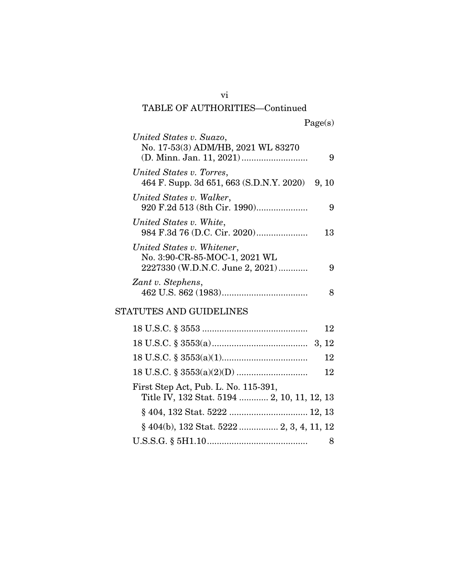## vi TABLE OF AUTHORITIES—Continued

| United States v. Suazo,<br>No. 17-53(3) ADM/HB, 2021 WL 83270                                  | 9  |
|------------------------------------------------------------------------------------------------|----|
| United States v. Torres,<br>464 F. Supp. 3d 651, 663 (S.D.N.Y. 2020) 9, 10                     |    |
| United States v. Walker,<br>920 F.2d 513 (8th Cir. 1990)                                       | 9  |
| United States v. White,                                                                        | 13 |
| United States v. Whitener,<br>No. 3:90-CR-85-MOC-1, 2021 WL<br>2227330 (W.D.N.C. June 2, 2021) | 9  |
| Zant v. Stephens,                                                                              | 8  |
| STATUTES AND GUIDELINES                                                                        |    |
|                                                                                                | 12 |
|                                                                                                |    |
|                                                                                                | 12 |
|                                                                                                | 12 |
| First Step Act, Pub. L. No. 115-391,<br>Title IV, 132 Stat. 5194  2, 10, 11, 12, 13            |    |
|                                                                                                |    |
| § 404(b), 132 Stat. 5222  2, 3, 4, 11, 12                                                      |    |
|                                                                                                | 8  |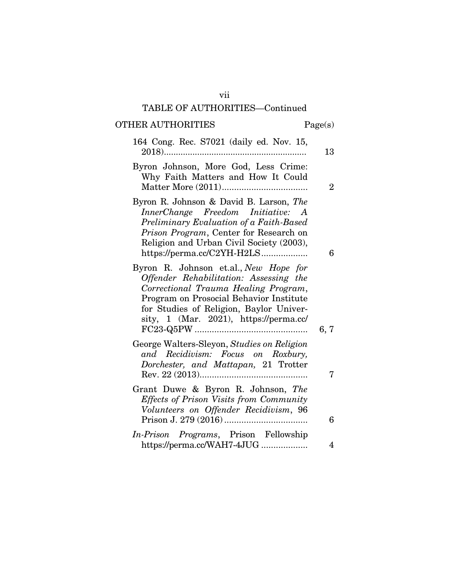## TABLE OF AUTHORITIES—Continued

# OTHER AUTHORITIES Page(s)

| 164 Cong. Rec. S7021 (daily ed. Nov. 15,<br>2018)                                                                                                                                                                                                       | 13             |
|---------------------------------------------------------------------------------------------------------------------------------------------------------------------------------------------------------------------------------------------------------|----------------|
| Byron Johnson, More God, Less Crime:<br>Why Faith Matters and How It Could                                                                                                                                                                              | $\overline{2}$ |
| Byron R. Johnson & David B. Larson, The<br>InnerChange Freedom Initiative: A<br>Preliminary Evaluation of a Faith-Based<br>Prison Program, Center for Research on<br>Religion and Urban Civil Society (2003),<br>https://perma.cc/C2YH-H2LS             | 6              |
| Byron R. Johnson et.al., New Hope for<br>Offender Rehabilitation: Assessing the<br>Correctional Trauma Healing Program,<br>Program on Prosocial Behavior Institute<br>for Studies of Religion, Baylor Univer-<br>sity, 1 (Mar. 2021), https://perma.cc/ | 6,7            |
| George Walters-Sleyon, Studies on Religion<br>and Recidivism: Focus on Roxbury,<br>Dorchester, and Mattapan, 21 Trotter                                                                                                                                 | 7              |
| Grant Duwe & Byron R. Johnson, The<br><b>Effects of Prison Visits from Community</b><br>Volunteers on Offender Recidivism, 96                                                                                                                           | 6              |
| In-Prison Programs, Prison Fellowship<br>https://perma.cc/WAH7-4JUG                                                                                                                                                                                     | 4              |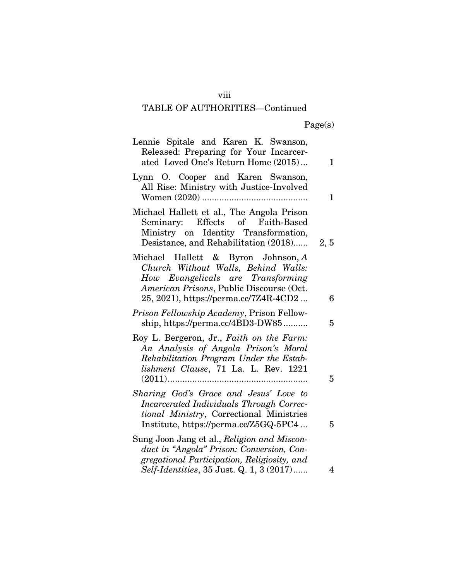## viii

# TABLE OF AUTHORITIES—Continued

Page(s)

| Lennie Spitale and Karen K. Swanson,                                                                                                                                                                |             |
|-----------------------------------------------------------------------------------------------------------------------------------------------------------------------------------------------------|-------------|
| Released: Preparing for Your Incarcer-<br>ated Loved One's Return Home (2015)                                                                                                                       | $\mathbf 1$ |
| Lynn O. Cooper and Karen Swanson,<br>All Rise: Ministry with Justice-Involved                                                                                                                       | 1           |
| Michael Hallett et al., The Angola Prison<br>Seminary: Effects of Faith-Based<br>Ministry on Identity Transformation,<br>Desistance, and Rehabilitation (2018)                                      | 2, 5        |
| Michael Hallett & Byron Johnson, A<br>Church Without Walls, Behind Walls:<br>How Evangelicals are Transforming<br>American Prisons, Public Discourse (Oct.<br>25, 2021), https://perma.cc/7Z4R-4CD2 | 6           |
| Prison Fellowship Academy, Prison Fellow-<br>ship, https://perma.cc/4BD3-DW85                                                                                                                       | 5           |
| Roy L. Bergeron, Jr., Faith on the Farm:<br>An Analysis of Angola Prison's Moral<br>Rehabilitation Program Under the Estab-<br>lishment Clause, 71 La. L. Rev. 1221                                 | 5           |
| Sharing God's Grace and Jesus' Love to<br>Incarcerated Individuals Through Correc-<br>tional Ministry, Correctional Ministries<br>Institute, https://perma.cc/Z5GQ-5PC4                             | 5           |
| Sung Joon Jang et al., Religion and Miscon-<br>duct in "Angola" Prison: Conversion, Con-<br>gregational Participation, Religiosity, and<br>Self-Identities, 35 Just. Q. 1, 3 (2017)                 | 4           |
|                                                                                                                                                                                                     |             |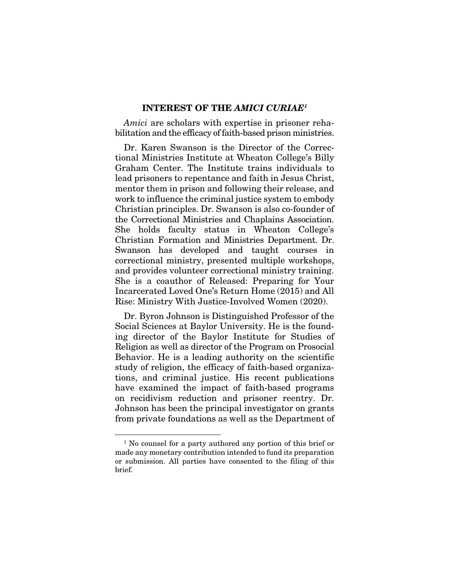### INTEREST OF THE *AMICI CURIAE1*

*Amici* are scholars with expertise in prisoner rehabilitation and the efficacy of faith-based prison ministries.

Dr. Karen Swanson is the Director of the Correctional Ministries Institute at Wheaton College's Billy Graham Center. The Institute trains individuals to lead prisoners to repentance and faith in Jesus Christ, mentor them in prison and following their release, and work to influence the criminal justice system to embody Christian principles. Dr. Swanson is also co-founder of the Correctional Ministries and Chaplains Association. She holds faculty status in Wheaton College's Christian Formation and Ministries Department. Dr. Swanson has developed and taught courses in correctional ministry, presented multiple workshops, and provides volunteer correctional ministry training. She is a coauthor of Released: Preparing for Your Incarcerated Loved One's Return Home (2015) and All Rise: Ministry With Justice-Involved Women (2020).

Dr. Byron Johnson is Distinguished Professor of the Social Sciences at Baylor University. He is the founding director of the Baylor Institute for Studies of Religion as well as director of the Program on Prosocial Behavior. He is a leading authority on the scientific study of religion, the efficacy of faith-based organizations, and criminal justice. His recent publications have examined the impact of faith-based programs on recidivism reduction and prisoner reentry. Dr. Johnson has been the principal investigator on grants from private foundations as well as the Department of

<sup>&</sup>lt;sup>1</sup> No counsel for a party authored any portion of this brief or made any monetary contribution intended to fund its preparation or submission. All parties have consented to the filing of this brief.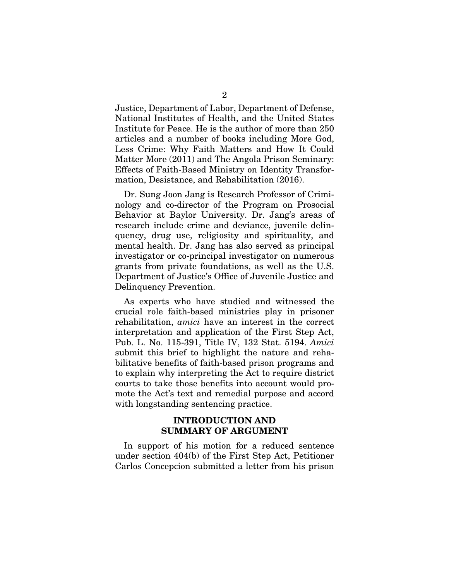Justice, Department of Labor, Department of Defense, National Institutes of Health, and the United States Institute for Peace. He is the author of more than 250 articles and a number of books including More God, Less Crime: Why Faith Matters and How It Could Matter More (2011) and The Angola Prison Seminary: Effects of Faith-Based Ministry on Identity Transformation, Desistance, and Rehabilitation (2016).

Dr. Sung Joon Jang is Research Professor of Criminology and co-director of the Program on Prosocial Behavior at Baylor University. Dr. Jang's areas of research include crime and deviance, juvenile delinquency, drug use, religiosity and spirituality, and mental health. Dr. Jang has also served as principal investigator or co-principal investigator on numerous grants from private foundations, as well as the U.S. Department of Justice's Office of Juvenile Justice and Delinquency Prevention.

As experts who have studied and witnessed the crucial role faith-based ministries play in prisoner rehabilitation, *amici* have an interest in the correct interpretation and application of the First Step Act, Pub. L. No. 115-391, Title IV, 132 Stat. 5194. *Amici*  submit this brief to highlight the nature and rehabilitative benefits of faith-based prison programs and to explain why interpreting the Act to require district courts to take those benefits into account would promote the Act's text and remedial purpose and accord with longstanding sentencing practice.

### INTRODUCTION AND SUMMARY OF ARGUMENT

In support of his motion for a reduced sentence under section 404(b) of the First Step Act, Petitioner Carlos Concepcion submitted a letter from his prison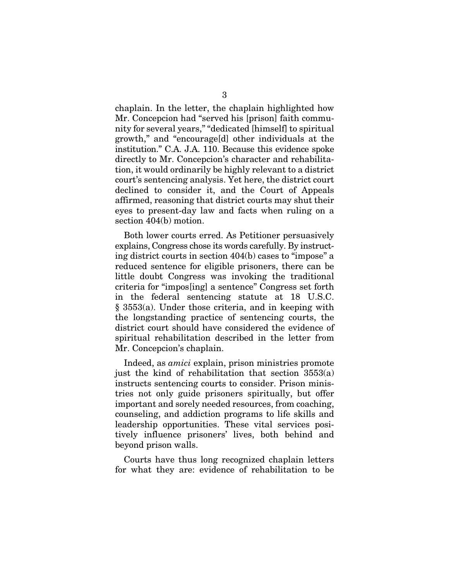chaplain. In the letter, the chaplain highlighted how Mr. Concepcion had "served his [prison] faith community for several years," "dedicated [himself] to spiritual growth," and "encourage[d] other individuals at the institution." C.A. J.A. 110. Because this evidence spoke directly to Mr. Concepcion's character and rehabilitation, it would ordinarily be highly relevant to a district court's sentencing analysis. Yet here, the district court declined to consider it, and the Court of Appeals affirmed, reasoning that district courts may shut their eyes to present-day law and facts when ruling on a section 404(b) motion.

Both lower courts erred. As Petitioner persuasively explains, Congress chose its words carefully. By instructing district courts in section 404(b) cases to "impose" a reduced sentence for eligible prisoners, there can be little doubt Congress was invoking the traditional criteria for "impos[ing] a sentence" Congress set forth in the federal sentencing statute at 18 U.S.C. § 3553(a). Under those criteria, and in keeping with the longstanding practice of sentencing courts, the district court should have considered the evidence of spiritual rehabilitation described in the letter from Mr. Concepcion's chaplain.

Indeed, as *amici* explain, prison ministries promote just the kind of rehabilitation that section  $3553(a)$ instructs sentencing courts to consider. Prison ministries not only guide prisoners spiritually, but offer important and sorely needed resources, from coaching, counseling, and addiction programs to life skills and leadership opportunities. These vital services positively influence prisoners' lives, both behind and beyond prison walls.

Courts have thus long recognized chaplain letters for what they are: evidence of rehabilitation to be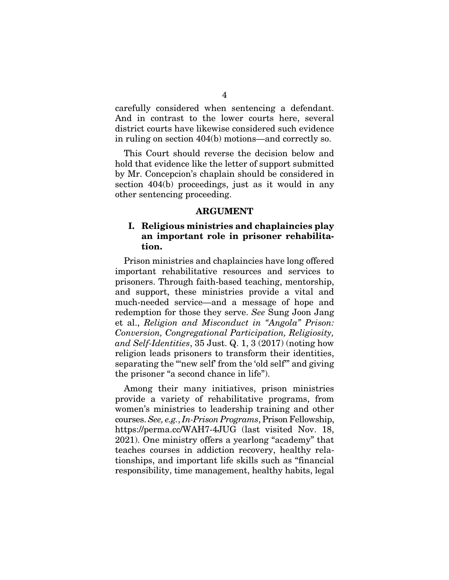carefully considered when sentencing a defendant. And in contrast to the lower courts here, several district courts have likewise considered such evidence in ruling on section 404(b) motions—and correctly so.

This Court should reverse the decision below and hold that evidence like the letter of support submitted by Mr. Concepcion's chaplain should be considered in section 404(b) proceedings, just as it would in any other sentencing proceeding.

### ARGUMENT

### I. Religious ministries and chaplaincies play an important role in prisoner rehabilitation.

Prison ministries and chaplaincies have long offered important rehabilitative resources and services to prisoners. Through faith-based teaching, mentorship, and support, these ministries provide a vital and much-needed service—and a message of hope and redemption for those they serve. *See* Sung Joon Jang et al., *Religion and Misconduct in "Angola" Prison: Conversion, Congregational Participation, Religiosity, and Self-Identities*, 35 Just. Q. 1, 3 (2017) (noting how religion leads prisoners to transform their identities, separating the "new self' from the 'old self" and giving the prisoner "a second chance in life").

Among their many initiatives, prison ministries provide a variety of rehabilitative programs, from women's ministries to leadership training and other courses. *See, e.g.*, *In-Prison Programs*, Prison Fellowship, https://perma.cc/WAH7-4JUG (last visited Nov. 18, 2021). One ministry offers a yearlong "academy" that teaches courses in addiction recovery, healthy relationships, and important life skills such as "financial responsibility, time management, healthy habits, legal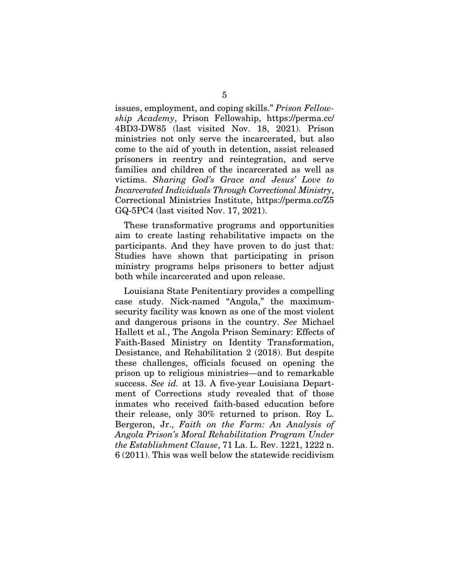issues, employment, and coping skills." *Prison Fellowship Academy*, Prison Fellowship, https://perma.cc/ 4BD3-DW85 (last visited Nov. 18, 2021). Prison ministries not only serve the incarcerated, but also come to the aid of youth in detention, assist released prisoners in reentry and reintegration, and serve families and children of the incarcerated as well as victims. *Sharing God's Grace and Jesus' Love to Incarcerated Individuals Through Correctional Ministry*, Correctional Ministries Institute, https://perma.cc/Z5 GQ-5PC4 (last visited Nov. 17, 2021).

These transformative programs and opportunities aim to create lasting rehabilitative impacts on the participants. And they have proven to do just that: Studies have shown that participating in prison ministry programs helps prisoners to better adjust both while incarcerated and upon release.

Louisiana State Penitentiary provides a compelling case study. Nick-named "Angola," the maximumsecurity facility was known as one of the most violent and dangerous prisons in the country. *See* Michael Hallett et al., The Angola Prison Seminary: Effects of Faith-Based Ministry on Identity Transformation, Desistance, and Rehabilitation 2 (2018). But despite these challenges, officials focused on opening the prison up to religious ministries—and to remarkable success. *See id.* at 13. A five-year Louisiana Department of Corrections study revealed that of those inmates who received faith-based education before their release, only 30% returned to prison. Roy L. Bergeron, Jr., *Faith on the Farm: An Analysis of Angola Prison's Moral Rehabilitation Program Under the Establishment Clause*, 71 La. L. Rev. 1221, 1222 n. 6 (2011). This was well below the statewide recidivism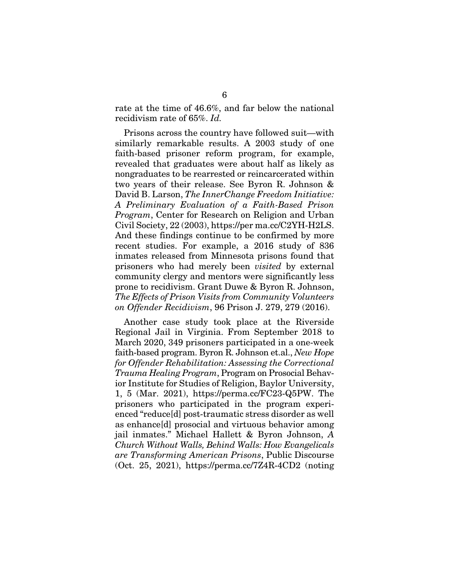rate at the time of 46.6%, and far below the national recidivism rate of 65%. *Id.*

Prisons across the country have followed suit—with similarly remarkable results. A 2003 study of one faith-based prisoner reform program, for example, revealed that graduates were about half as likely as nongraduates to be rearrested or reincarcerated within two years of their release. See Byron R. Johnson & David B. Larson, *The InnerChange Freedom Initiative: A Preliminary Evaluation of a Faith-Based Prison Program*, Center for Research on Religion and Urban Civil Society, 22 (2003), https://per ma.cc/C2YH-H2LS. And these findings continue to be confirmed by more recent studies. For example, a 2016 study of 836 inmates released from Minnesota prisons found that prisoners who had merely been *visited* by external community clergy and mentors were significantly less prone to recidivism. Grant Duwe & Byron R. Johnson, *The Effects of Prison Visits from Community Volunteers on Offender Recidivism*, 96 Prison J. 279, 279 (2016).

Another case study took place at the Riverside Regional Jail in Virginia. From September 2018 to March 2020, 349 prisoners participated in a one-week faith-based program. Byron R. Johnson et.al., *New Hope for Offender Rehabilitation: Assessing the Correctional Trauma Healing Program*, Program on Prosocial Behavior Institute for Studies of Religion, Baylor University, 1, 5 (Mar. 2021), https://perma.cc/FC23-Q5PW. The prisoners who participated in the program experienced "reduce[d] post-traumatic stress disorder as well as enhance[d] prosocial and virtuous behavior among jail inmates." Michael Hallett & Byron Johnson, *A Church Without Walls, Behind Walls: How Evangelicals are Transforming American Prisons*, Public Discourse (Oct. 25, 2021), https://perma.cc/7Z4R-4CD2 (noting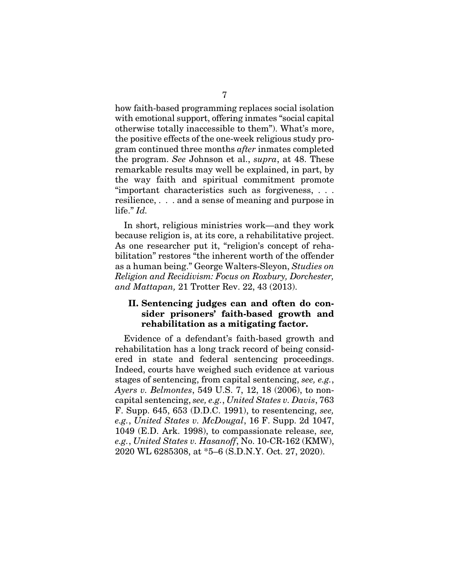how faith-based programming replaces social isolation with emotional support, offering inmates "social capital otherwise totally inaccessible to them"). What's more, the positive effects of the one-week religious study program continued three months *after* inmates completed the program. *See* Johnson et al., *supra*, at 48. These remarkable results may well be explained, in part, by the way faith and spiritual commitment promote "important characteristics such as forgiveness, . . . resilience, . . . and a sense of meaning and purpose in life." *Id.*

In short, religious ministries work—and they work because religion is, at its core, a rehabilitative project. As one researcher put it, "religion's concept of rehabilitation" restores "the inherent worth of the offender as a human being." George Walters-Sleyon, *Studies on Religion and Recidivism: Focus on Roxbury, Dorchester, and Mattapan,* 21 Trotter Rev. 22, 43 (2013).

## II. Sentencing judges can and often do consider prisoners' faith-based growth and rehabilitation as a mitigating factor.

Evidence of a defendant's faith-based growth and rehabilitation has a long track record of being considered in state and federal sentencing proceedings. Indeed, courts have weighed such evidence at various stages of sentencing, from capital sentencing, *see, e.g.*, *Ayers v. Belmontes*, 549 U.S. 7, 12, 18 (2006), to noncapital sentencing, *see, e.g.*, *United States v. Davis*, 763 F. Supp. 645, 653 (D.D.C. 1991), to resentencing, *see, e.g.*, *United States v. McDougal*, 16 F. Supp. 2d 1047, 1049 (E.D. Ark. 1998), to compassionate release, *see, e.g.*, *United States v. Hasanoff*, No. 10-CR-162 (KMW), 2020 WL 6285308, at \*5–6 (S.D.N.Y. Oct. 27, 2020).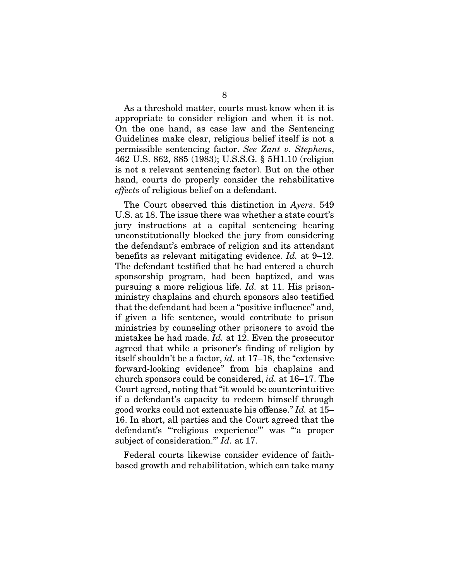As a threshold matter, courts must know when it is appropriate to consider religion and when it is not. On the one hand, as case law and the Sentencing Guidelines make clear, religious belief itself is not a permissible sentencing factor. *See Zant v. Stephens*, 462 U.S. 862, 885 (1983); U.S.S.G. § 5H1.10 (religion is not a relevant sentencing factor). But on the other hand, courts do properly consider the rehabilitative *effects* of religious belief on a defendant.

The Court observed this distinction in *Ayers*. 549 U.S. at 18. The issue there was whether a state court's jury instructions at a capital sentencing hearing unconstitutionally blocked the jury from considering the defendant's embrace of religion and its attendant benefits as relevant mitigating evidence. *Id.* at 9–12. The defendant testified that he had entered a church sponsorship program, had been baptized, and was pursuing a more religious life. *Id.* at 11. His prisonministry chaplains and church sponsors also testified that the defendant had been a "positive influence" and, if given a life sentence, would contribute to prison ministries by counseling other prisoners to avoid the mistakes he had made. *Id.* at 12. Even the prosecutor agreed that while a prisoner's finding of religion by itself shouldn't be a factor, *id.* at 17–18, the "extensive forward-looking evidence" from his chaplains and church sponsors could be considered, *id.* at 16–17. The Court agreed, noting that "it would be counterintuitive if a defendant's capacity to redeem himself through good works could not extenuate his offense." *Id.* at 15– 16. In short, all parties and the Court agreed that the defendant's "'religious experience'" was "'a proper subject of consideration.'" *Id.* at 17.

Federal courts likewise consider evidence of faithbased growth and rehabilitation, which can take many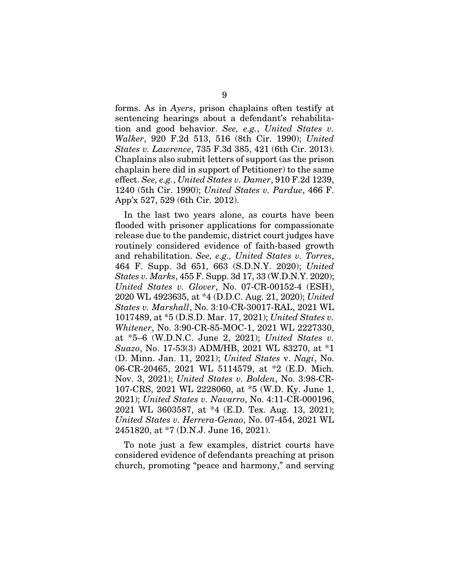forms. As in *Ayers*, prison chaplains often testify at sentencing hearings about a defendant's rehabilitation and good behavior. *See, e.g.*, *United States v. Walker*, 920 F.2d 513, 516 (8th Cir. 1990); *United States v. Lawrence*, 735 F.3d 385, 421 (6th Cir. 2013). Chaplains also submit letters of support (as the prison chaplain here did in support of Petitioner) to the same effect. *See, e.g.*, *United States v. Damer*, 910 F.2d 1239, 1240 (5th Cir. 1990); *United States v. Pardue*, 466 F. App'x 527, 529 (6th Cir. 2012).

In the last two years alone, as courts have been flooded with prisoner applications for compassionate release due to the pandemic, district court judges have routinely considered evidence of faith-based growth and rehabilitation. *See, e.g., United States v. Torres*, 464 F. Supp. 3d 651, 663 (S.D.N.Y. 2020); *United States v. Marks*, 455 F. Supp. 3d 17, 33 (W.D.N.Y. 2020); *United States v. Glover*, No. 07-CR-00152-4 (ESH), 2020 WL 4923635, at \*4 (D.D.C. Aug. 21, 2020); *United States v. Marshall*, No. 3:10-CR-30017-RAL, 2021 WL 1017489, at \*5 (D.S.D. Mar. 17, 2021); *United States v. Whitener*, No. 3:90-CR-85-MOC-1, 2021 WL 2227330, at \*5–6 (W.D.N.C. June 2, 2021); *United States v. Suazo*, No. 17-53(3) ADM/HB, 2021 WL 83270, at \*1 (D. Minn. Jan. 11, 2021); *United States* v. *Nagi*, No. 06-CR-20465, 2021 WL 5114579, at \*2 (E.D. Mich. Nov. 3, 2021); *United States v. Bolden*, No. 3:98-CR-107-CRS, 2021 WL 2228060, at \*5 (W.D. Ky. June 1, 2021); *United States v. Navarro*, No. 4:11-CR-000196, 2021 WL 3603587, at \*4 (E.D. Tex. Aug. 13, 2021); *United States v. Herrera-Genao*, No. 07-454, 2021 WL 2451820, at \*7 (D.N.J. June 16, 2021).

To note just a few examples, district courts have considered evidence of defendants preaching at prison church, promoting "peace and harmony," and serving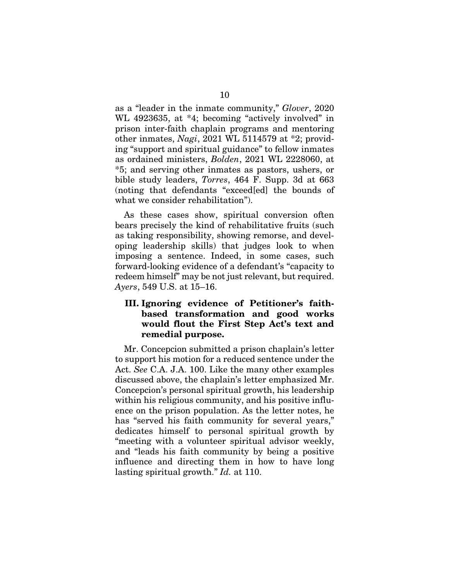as a "leader in the inmate community," *Glover*, 2020 WL 4923635, at \*4; becoming "actively involved" in prison inter-faith chaplain programs and mentoring other inmates, *Nagi*, 2021 WL 5114579 at \*2; providing "support and spiritual guidance" to fellow inmates as ordained ministers, *Bolden*, 2021 WL 2228060, at \*5; and serving other inmates as pastors, ushers, or bible study leaders, *Torres*, 464 F. Supp. 3d at 663 (noting that defendants "exceed[ed] the bounds of what we consider rehabilitation").

As these cases show, spiritual conversion often bears precisely the kind of rehabilitative fruits (such as taking responsibility, showing remorse, and developing leadership skills) that judges look to when imposing a sentence. Indeed, in some cases, such forward-looking evidence of a defendant's "capacity to redeem himself" may be not just relevant, but required. *Ayers*, 549 U.S. at 15–16.

## III. Ignoring evidence of Petitioner's faithbased transformation and good works would flout the First Step Act's text and remedial purpose.

Mr. Concepcion submitted a prison chaplain's letter to support his motion for a reduced sentence under the Act. *See* C.A. J.A. 100. Like the many other examples discussed above, the chaplain's letter emphasized Mr. Concepcion's personal spiritual growth, his leadership within his religious community, and his positive influence on the prison population. As the letter notes, he has "served his faith community for several years," dedicates himself to personal spiritual growth by "meeting with a volunteer spiritual advisor weekly, and "leads his faith community by being a positive influence and directing them in how to have long lasting spiritual growth." *Id.* at 110.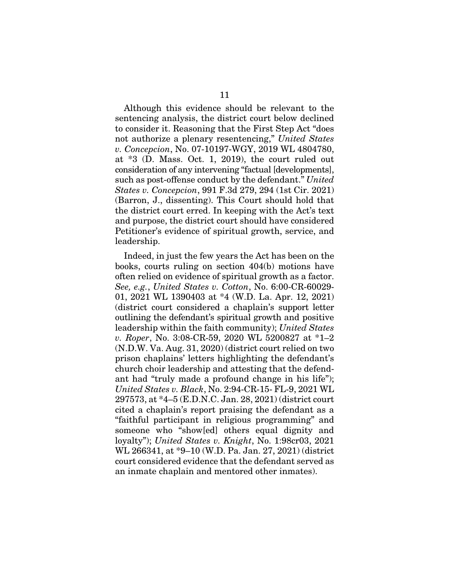Although this evidence should be relevant to the sentencing analysis, the district court below declined to consider it. Reasoning that the First Step Act "does not authorize a plenary resentencing," *United States v. Concepcion*, No. 07-10197-WGY, 2019 WL 4804780, at \*3 (D. Mass. Oct. 1, 2019), the court ruled out consideration of any intervening "factual [developments], such as post-offense conduct by the defendant." *United States v. Concepcion*, 991 F.3d 279, 294 (1st Cir. 2021) (Barron, J., dissenting). This Court should hold that the district court erred. In keeping with the Act's text and purpose, the district court should have considered Petitioner's evidence of spiritual growth, service, and leadership.

Indeed, in just the few years the Act has been on the books, courts ruling on section 404(b) motions have often relied on evidence of spiritual growth as a factor. *See, e.g.*, *United States v. Cotton*, No. 6:00-CR-60029- 01, 2021 WL 1390403 at \*4 (W.D. La. Apr. 12, 2021) (district court considered a chaplain's support letter outlining the defendant's spiritual growth and positive leadership within the faith community); *United States v. Roper*, No. 3:08-CR-59, 2020 WL 5200827 at \*1–2 (N.D.W. Va. Aug. 31, 2020) (district court relied on two prison chaplains' letters highlighting the defendant's church choir leadership and attesting that the defendant had "truly made a profound change in his life"); *United States v. Black*, No. 2:94-CR-15- FL-9, 2021 WL 297573, at \*4–5 (E.D.N.C. Jan. 28, 2021) (district court cited a chaplain's report praising the defendant as a "faithful participant in religious programming" and someone who "show[ed] others equal dignity and loyalty"); *United States v. Knight*, No. 1:98cr03, 2021 WL 266341, at \*9–10 (W.D. Pa. Jan. 27, 2021) (district court considered evidence that the defendant served as an inmate chaplain and mentored other inmates).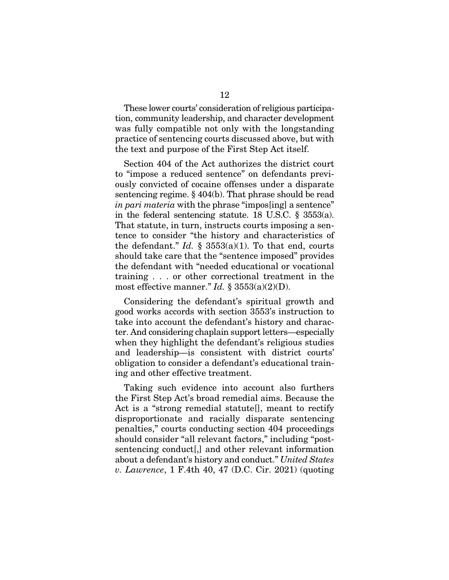These lower courts' consideration of religious participation, community leadership, and character development was fully compatible not only with the longstanding practice of sentencing courts discussed above, but with the text and purpose of the First Step Act itself.

Section 404 of the Act authorizes the district court to "impose a reduced sentence" on defendants previously convicted of cocaine offenses under a disparate sentencing regime. § 404(b). That phrase should be read *in pari materia* with the phrase "impos[ing] a sentence" in the federal sentencing statute. 18 U.S.C. § 3553(a). That statute, in turn, instructs courts imposing a sentence to consider "the history and characteristics of the defendant." *Id.*  $\frac{1}{5}$  3553(a)(1). To that end, courts should take care that the "sentence imposed" provides the defendant with "needed educational or vocational training . . . or other correctional treatment in the most effective manner." *Id.* §  $3553(a)(2)(D)$ .

Considering the defendant's spiritual growth and good works accords with section 3553's instruction to take into account the defendant's history and character. And considering chaplain support letters—especially when they highlight the defendant's religious studies and leadership—is consistent with district courts' obligation to consider a defendant's educational training and other effective treatment.

Taking such evidence into account also furthers the First Step Act's broad remedial aims. Because the Act is a "strong remedial statute[], meant to rectify disproportionate and racially disparate sentencing penalties," courts conducting section 404 proceedings should consider "all relevant factors," including "postsentencing conduct[,] and other relevant information about a defendant's history and conduct." *United States v. Lawrence*, 1 F.4th 40, 47 (D.C. Cir. 2021) (quoting